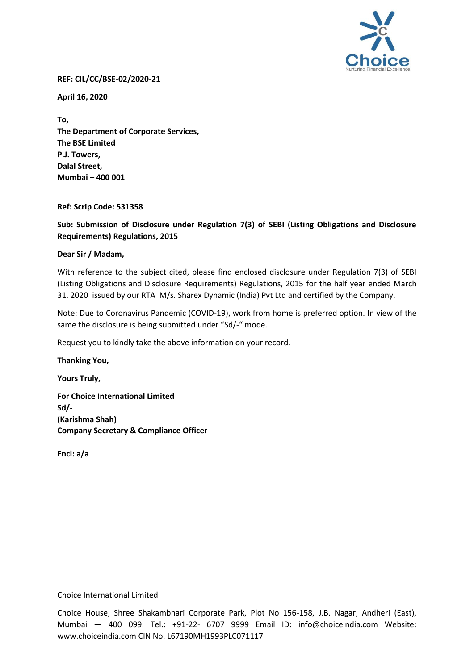

### **REF: CIL/CC/BSE-02/2020-21**

**April 16, 2020**

**To, The Department of Corporate Services, The BSE Limited P.J. Towers, Dalal Street, Mumbai – 400 001**

### **Ref: Scrip Code: 531358**

**Sub: Submission of Disclosure under Regulation 7(3) of SEBI (Listing Obligations and Disclosure Requirements) Regulations, 2015**

### **Dear Sir / Madam,**

With reference to the subject cited, please find enclosed disclosure under Regulation 7(3) of SEBI (Listing Obligations and Disclosure Requirements) Regulations, 2015 for the half year ended March 31, 2020 issued by our RTA M/s. Sharex Dynamic (India) Pvt Ltd and certified by the Company.

Note: Due to Coronavirus Pandemic (COVID-19), work from home is preferred option. In view of the same the disclosure is being submitted under "Sd/-" mode.

Request you to kindly take the above information on your record.

**Thanking You,**

**Yours Truly, For Choice International Limited Sd/- (Karishma Shah) Company Secretary & Compliance Officer**

**Encl: a/a** 

### Choice International Limited

Choice House, Shree Shakambhari Corporate Park, Plot No 156-158, J.B. Nagar, Andheri (East), Mumbai — 400 099. Tel.: +91-22- 6707 9999 Email ID: info@choiceindia.com Website: www.choiceindia.com CIN No. L67190MH1993PLC071117